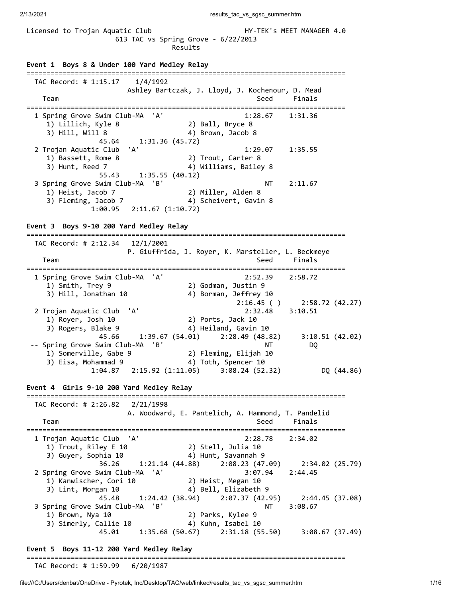2/13/2021 2002 and 2008 2009 2009 2008 2009 2013/2021 2013/2021

Licensed to Trojan Aquatic Club **HY-TEK's MEET MANAGER 4.0**  613 TAC vs Spring Grove - 6/22/2013 Results **Event 1 Boys 8 & Under 100 Yard Medley Relay** =============================================================================== TAC Record: # 1:15.17 1/4/1992 Ashley Bartczak, J. Lloyd, J. Kochenour, D. Mead Team Seed Finals =============================================================================== 1 Spring Grove Swim Club-MA 'A' 1:28.67 1:31.36 1) Lillich, Kyle 8 2) Ball, Bryce 8 3) Hill, Will 8 4) Brown, Jacob 8 3) Hill, Will 8  $45.64$  1:31.36 (45.72)<br>2 Trojan Aquatic Club 'A' 2 Trojan Aquatic Club 'A' 1:29.07 1:35.55 1) Bassett, Rome 8 2) Trout, Carter 8 3) Hunt, Reed 7 4) Williams, Bailey 8 55.43 1:35.55 (40.12) 3 Spring Grove Swim Club-MA 'B' NT 2:11.67 1) Heist, Jacob 7 2) Miller, Alden 8 3) Fleming, Jacob 7 4) Scheivert, Gavin 8 1:00.95 2:11.67 (1:10.72) **Event 3 Boys 9-10 200 Yard Medley Relay** =============================================================================== TAC Record: # 2:12.34 12/1/2001 P. Giuffrida, J. Royer, K. Marsteller, L. Beckmeye Team Seed Finals =============================================================================== 1 Spring Grove Swim Club-MA 'A' 2:52.39 2:58.72 1) Smith, Trey 9 2) Godman, Justin 9 3) Hill, Jonathan 10 4) Borman, Jeffrey 10  $2:16.45$  ( )  $2:58.72$  (42.27) 2 Trojan Aquatic Club 'A' 2:32.48 3:10.51 1) Royer, Josh 10 2) Ports, Jack 10 3) Rogers, Blake 9 4) Heiland, Gavin 10 45.66 1:39.67 (54.01) 2:28.49 (48.82) 3:10.51 (42.02) -- Spring Grove Swim Club-MA 'B' NT DQ 1) Somerville, Gabe 9 2) Fleming, Elijah 10 3) Eisa, Mohammad 9 4) Toth, Spencer 10 1:04.87 2:15.92 (1:11.05) 3:08.24 (52.32) DQ (44.86) **Event 4 Girls 9-10 200 Yard Medley Relay** =============================================================================== TAC Record: # 2:26.82 2/21/1998 A. Woodward, E. Pantelich, A. Hammond, T. Pandelid Team Seed Finals =============================================================================== 1 Trojan Aquatic Club 'A' 2:28.78 2:34.02 1) Trout, Riley E 10 2) Stell, Julia 10 3) Guyer, Sophia 10 4) Hunt, Savannah 9 36.26 1:21.14 (44.88) 2:08.23 (47.09) 2:34.02 (25.79) 2 Spring Grove Swim Club-MA 'A' 3:07.94 2:44.45 1) Kanwischer, Cori 10 2) Heist, Megan 10 3) Lint, Morgan 10 4) Bell, Elizabeth 9 45.48 1:24.42 (38.94) 2:07.37 (42.95) 2:44.45 (37.08) 3 Spring Grove Swim Club-MA 'B' NT 3:08.67 1) Brown, Nya 10 2) Parks, Kylee 9 3) Simerly, Callie 10 4) Kuhn, Isabel 10 45.01 1:35.68 (50.67) 2:31.18 (55.50) 3:08.67 (37.49) **Event 5 Boys 11-12 200 Yard Medley Relay**

# ===============================================================================

TAC Record: # 1:59.99 6/20/1987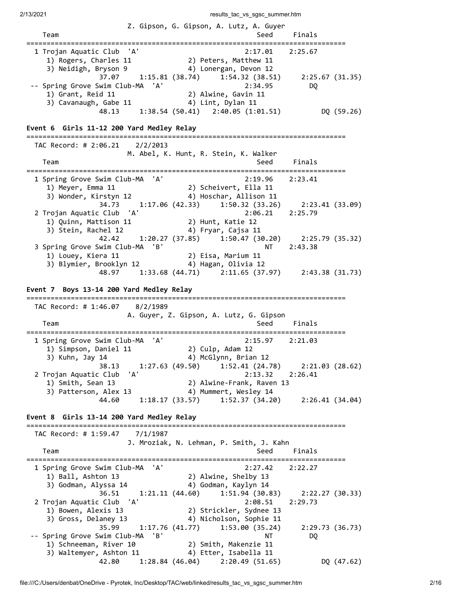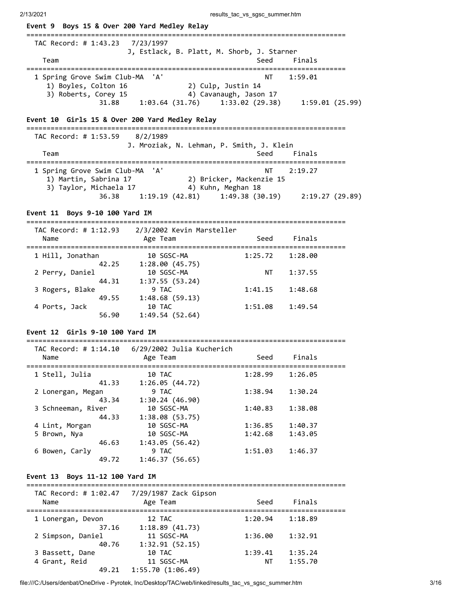| Event 9 Boys 15 & Over 200 Yard Medley Relay                                     |                                                                  |                                                      |                                                       |
|----------------------------------------------------------------------------------|------------------------------------------------------------------|------------------------------------------------------|-------------------------------------------------------|
| TAC Record: # 1:43.23<br>Team                                                    | 7/23/1997<br>J, Estlack, B. Platt, M. Shorb, J. Starner          | Seed                                                 | Finals                                                |
| 1 Spring Grove Swim Club-MA<br>1) Boyles, Colton 16<br>3) Roberts, Corey 15      | 'A'                                                              | ΝT<br>2) Culp, Justin 14<br>4) Cavanaugh, Jason 17   | 1:59.01                                               |
| 31.88                                                                            |                                                                  |                                                      | $1:03.64$ (31.76) $1:33.02$ (29.38) $1:59.01$ (25.99) |
| Event 10 Girls 15 & Over 200 Yard Medley Relay                                   |                                                                  |                                                      |                                                       |
| TAC Record: # 1:53.59 8/2/1989<br>Team                                           | J. Mroziak, N. Lehman, P. Smith, J. Klein                        | Seed                                                 | Finals                                                |
| 1 Spring Grove Swim Club-MA<br>1) Martin, Sabrina 17<br>3) Taylor, Michaela 17   | 'A'                                                              | NΤ<br>2) Bricker, Mackenzie 15<br>4) Kuhn, Meghan 18 | ============<br>2:19.27                               |
| 36.38                                                                            |                                                                  |                                                      | $1:19.19(42.81)$ $1:49.38(30.19)$ $2:19.27(29.89)$    |
| Event 11 Boys 9-10 100 Yard IM                                                   |                                                                  |                                                      |                                                       |
| -----------------------------<br>TAC Record: # 1:12.93 2/3/2002 Kevin Marsteller |                                                                  |                                                      |                                                       |
| Name<br>====================                                                     | Age Team                                                         | Seed                                                 | Finals                                                |
| 1 Hill, Jonathan                                                                 | 10 SGSC-MA                                                       | 1:25.72                                              | 1:28.00                                               |
| 42.25<br>2 Perry, Daniel                                                         | 1:28.00(45.75)<br>10 SGSC-MA                                     | ΝT                                                   | 1:37.55                                               |
| 44.31<br>3 Rogers, Blake                                                         | 1:37.55(53.24)<br>9 TAC                                          | 1:41.15                                              | 1:48.68                                               |
| 49.55<br>4 Ports, Jack<br>56.90                                                  | 1:48.68(59.13)<br>10 TAC<br>1:49.54(52.64)                       | 1:51.08                                              | 1:49.54                                               |
| Event 12 Girls 9-10 100 Yard IM                                                  |                                                                  |                                                      |                                                       |
| TAC Record: # 1:14.10                                                            | 6/29/2002 Julia Kucherich                                        |                                                      |                                                       |
| Name                                                                             | <b>Age Team</b>                                                  | Seed                                                 | Finals                                                |
| 1 Stell, Julia                                                                   | 10 TAC                                                           | $1:28.99$ $1:26.05$                                  |                                                       |
| 2 Lonergan, Megan                                                                | 41.33 1:26.05 (44.72)<br>9 TAC                                   | 1:38.94                                              | 1:30.24                                               |
| 3 Schneeman, River                                                               | 43.34 1:30.24 (46.90)<br>10 SGSC-MA<br>$44.33$ $1:38.08$ (53.75) | 1:40.83                                              | 1:38.08                                               |
| 4 Lint, Morgan                                                                   | 10 SGSC-MA                                                       | $1:36.85$ $1:40.37$                                  |                                                       |
| 5 Brown, Nya<br>46.63                                                            | 10 SGSC-MA<br>1:43.05 (56.42)                                    | 1:42.68                                              | 1:43.05                                               |
| 6 Bowen, Carly<br>49.72                                                          | 9 TAC<br>1:46.37(56.65)                                          | $1:51.03$ $1:46.37$                                  |                                                       |
| Event 13 Boys 11-12 100 Yard IM                                                  |                                                                  |                                                      |                                                       |
|                                                                                  |                                                                  |                                                      |                                                       |
| Name                                                                             | Age Team                                                         |                                                      | Seed Finals                                           |
| 1 Lonergan, Devon                                                                | 12 TAC                                                           | 1:20.94 1:18.89                                      |                                                       |
| 2 Simpson, Daniel                                                                | 37.16 1:18.89 (41.73)<br>11 SGSC-MA<br>40.76 1:32.91 (52.15)     | $1:36.00$ $1:32.91$                                  |                                                       |
| 3 Bassett, Dane                                                                  | 10 TAC                                                           | 1:39.41 1:35.24                                      |                                                       |
| 4 Grant, Reid                                                                    | 11 SGSC-MA                                                       |                                                      | NT 1:55.70                                            |

49.21 1:55.70 (1:06.49)

4 Grant, Reid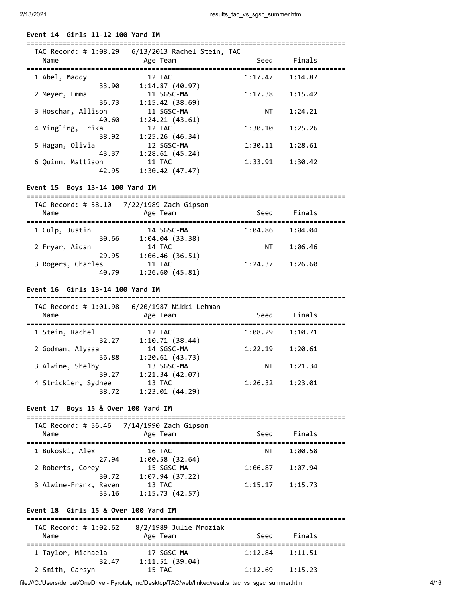### **Event 14 Girls 11-12 100 Yard IM**

| TAC Record: # 1:08.29<br>Name | 6/13/2013 Rachel Stein, TAC<br>Age Team | Seed    | Finals  |  |
|-------------------------------|-----------------------------------------|---------|---------|--|
| 1 Abel, Maddy                 | 12 TAC                                  | 1:17.47 | 1:14.87 |  |
| 33.90                         | 1:14.87(40.97)                          |         |         |  |
| 2 Meyer, Emma                 | 11 SGSC-MA                              | 1:17.38 | 1:15.42 |  |
| 36.73                         | 1:15.42(38.69)                          |         |         |  |
| 3 Hoschar, Allison            | 11 SGSC-MA                              | NΤ      | 1:24.21 |  |
| 40.60                         | 1:24.21(43.61)                          |         |         |  |
| 4 Yingling, Erika             | 12 TAC                                  | 1:30.10 | 1:25.26 |  |
| 38.92                         | 1:25.26(46.34)                          |         |         |  |
| 5 Hagan, Olivia               | 12 SGSC-MA                              | 1:30.11 | 1:28.61 |  |
| 43.37                         | 1:28.61(45.24)                          |         |         |  |
| 6 Quinn, Mattison             | 11 TAC                                  | 1:33.91 | 1:30.42 |  |
| 42.95                         | 1:30.42(47.47)                          |         |         |  |

===============================================================================

# **Event 15 Boys 13-14 100 Yard IM**

| TAC Record: # 58.10<br>Name |       | 7/22/1989 Zach Gipson<br>Age Team | Seed    | Finals  |  |
|-----------------------------|-------|-----------------------------------|---------|---------|--|
| 1 Culp, Justin              |       | 14 SGSC-MA                        | 1:04.86 | 1:04.04 |  |
| 2 Fryar, Aidan              | 30.66 | 1:04.04(33.38)<br>14 TAC          | ΝT      | 1:06.46 |  |
| 3 Rogers, Charles           | 29.95 | 1:06.46(36.51)<br>11 TAC          | 1:24.37 | 1:26.60 |  |
|                             | 40.79 | 1:26.60(45.81)                    |         |         |  |

## **Event 16 Girls 13-14 100 Yard IM**

| TAC Record: # 1:01.98<br>Name | 6/20/1987 Nikki Lehman<br>Age Team | Seed    | Finals  |  |
|-------------------------------|------------------------------------|---------|---------|--|
| 1 Stein, Rachel               | 12 TAC                             | 1:08.29 | 1:10.71 |  |
| 32.27                         | 1:10.71(38.44)                     |         |         |  |
| 2 Godman, Alyssa              | 14 SGSC-MA                         | 1:22.19 | 1:20.61 |  |
| 36.88                         | 1:20.61(43.73)                     |         |         |  |
| 3 Alwine, Shelby              | 13 SGSC-MA                         | ΝT      | 1:21.34 |  |
| 39.27                         | 1:21.34(42.07)                     |         |         |  |
| 4 Strickler, Sydnee           | 13 TAC                             | 1:26.32 | 1:23.01 |  |
| 38.72                         | 1:23.01(44.29)                     |         |         |  |

#### **Event 17 Boys 15 & Over 100 Yard IM**

| TAC Record: # 56.46            | 7/14/1990 Zach Gipson    |         |         |
|--------------------------------|--------------------------|---------|---------|
| Name                           | Age Team                 | Seed    | Finals  |
| 1 Bukoski, Alex                | 16 TAC                   | ΝT      | 1:00.58 |
| 27.94                          | 1:00.58(32.64)           |         |         |
| 2 Roberts, Corey               | 15 SGSC-MA               | 1:06.87 | 1:07.94 |
| 30.72                          | 1:07.94(37.22)           |         |         |
| 3 Alwine-Frank, Raven<br>33.16 | 13 TAC<br>1:15.73(42.57) | 1:15.17 | 1:15.73 |

# **Event 18 Girls 15 & Over 100 Yard IM**

| TAC Record: # 1:02.62 | 8/2/1989 Julie Mroziak |         |         |  |
|-----------------------|------------------------|---------|---------|--|
| Name                  | Age Team               | Seed    | Finals  |  |
|                       |                        |         |         |  |
| 1 Taylor, Michaela    | 17 SGSC-MA             | 1:12.84 | 1:11.51 |  |
| 32.47                 | 1:11.51(39.04)         |         |         |  |
| 2 Smith, Carsyn       | 15 TAC                 | 1:12.69 | 1:15.23 |  |

file:///C:/Users/denbat/OneDrive - Pyrotek, Inc/Desktop/TAC/web/linked/results\_tac\_vs\_sgsc\_summer.htm 4/16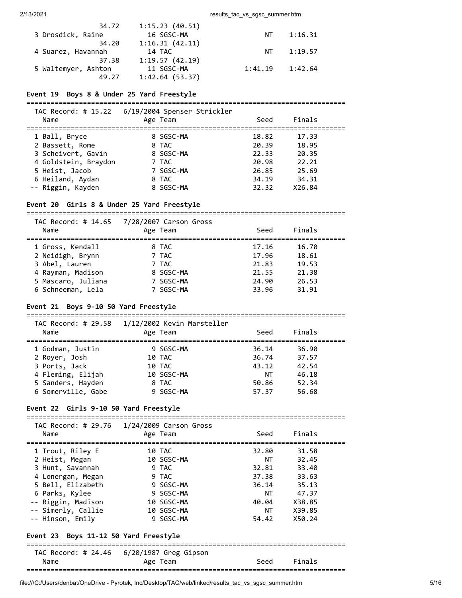| 34.72               | 1:15.23(40.51) |         |         |
|---------------------|----------------|---------|---------|
| 3 Drosdick, Raine   | 16 SGSC-MA     | NT.     | 1:16.31 |
| 34.20               | 1:16.31(42.11) |         |         |
| 4 Suarez, Havannah  | 14 TAC         | NT.     | 1:19.57 |
| 37.38               | 1:19.57(42.19) |         |         |
| 5 Waltemyer, Ashton | 11 SGSC-MA     | 1:41.19 | 1:42.64 |
| 49.27               | 1:42.64(53.37) |         |         |

### **Event 19 Boys 8 & Under 25 Yard Freestyle**

===============================================================================

| TAC Record: # 15.22<br>Name | 6/19/2004 Spenser Strickler<br>Age Team | Seed  | Finals |  |
|-----------------------------|-----------------------------------------|-------|--------|--|
| 1 Ball, Bryce               | 8 SGSC-MA                               | 18.82 | 17.33  |  |
| 2 Bassett, Rome             | 8 TAC                                   | 20.39 | 18.95  |  |
| 3 Scheivert, Gavin          | 8 SGSC-MA                               | 22.33 | 20.35  |  |
| 4 Goldstein, Braydon        | 7 TAC                                   | 20.98 | 22.21  |  |
| 5 Heist, Jacob              | 7 SGSC-MA                               | 26.85 | 25.69  |  |
| 6 Heiland, Aydan            | 8 TAC                                   | 34.19 | 34.31  |  |
| -- Riggin, Kayden           | 8 SGSC-MA                               | 32.32 | X26.84 |  |

# **Event 20 Girls 8 & Under 25 Yard Freestyle**

===============================================================================

| Name               | TAC Record: # 14.65 7/28/2007 Carson Gross<br>Age Team | Seed  | Finals |  |
|--------------------|--------------------------------------------------------|-------|--------|--|
| 1 Gross, Kendall   | 8 TAC                                                  | 17.16 | 16.70  |  |
| 2 Neidigh, Brynn   | 7 TAC                                                  | 17.96 | 18.61  |  |
| 3 Abel, Lauren     | 7 TAC                                                  | 21.83 | 19.53  |  |
| 4 Rayman, Madison  | 8 SGSC-MA                                              | 21.55 | 21.38  |  |
| 5 Mascaro, Juliana | 7 SGSC-MA                                              | 24.90 | 26.53  |  |
| 6 Schneeman, Lela  | 7 SGSC-MA                                              | 33.96 | 31.91  |  |

# **Event 21 Boys 9-10 50 Yard Freestyle**

===============================================================================  $TAC$  Record:  $H20E8$  1/12/2002 Kevin Marstell

| Name               | Age Team   | Seed  | Finals |  |
|--------------------|------------|-------|--------|--|
| 1 Godman, Justin   | 9 SGSC-MA  | 36.14 | 36.90  |  |
| 2 Royer, Josh      | 10 TAC     | 36.74 | 37.57  |  |
| 3 Ports, Jack      | 10 TAC     | 43.12 | 42.54  |  |
| 4 Fleming, Elijah  | 10 SGSC-MA | NΤ    | 46.18  |  |
| 5 Sanders, Hayden  | 8 TAC      | 50.86 | 52.34  |  |
| 6 Somerville, Gabe | 9 SGSC-MA  | 57.37 | 56.68  |  |
|                    |            |       |        |  |

#### **Event 22 Girls 9-10 50 Yard Freestyle**

| Name                                                                                                                                                                               | TAC Record: # 29.76  1/24/2009 Carson Gross<br>Age Team                                                   | Seed                                                                   | Finals                                                                           |
|------------------------------------------------------------------------------------------------------------------------------------------------------------------------------------|-----------------------------------------------------------------------------------------------------------|------------------------------------------------------------------------|----------------------------------------------------------------------------------|
| 1 Trout, Riley E<br>2 Heist, Megan<br>3 Hunt, Savannah<br>4 Lonergan, Megan<br>5 Bell, Elizabeth<br>6 Parks, Kylee<br>-- Riggin, Madison<br>-- Simerly, Callie<br>-- Hinson, Emily | 10 TAC<br>10 SGSC-MA<br>9 TAC<br>9 TAC<br>9 SGSC-MA<br>9 SGSC-MA<br>10 SGSC-MA<br>10 SGSC-MA<br>9 SGSC-MA | 32.80<br>NT<br>32.81<br>37.38<br>36.14<br>NT<br>40.04<br>NT T<br>54.42 | 31.58<br>32.45<br>33.40<br>33.63<br>35.13<br>47.37<br>X38.85<br>X39.85<br>X50.24 |
| Event 23 Boys 11-12 50 Yard Freestyle                                                                                                                                              |                                                                                                           |                                                                        |                                                                                  |
| Name                                                                                                                                                                               | TAC Record: # 24.46 6/20/1987 Greg Gipson<br>Age Team                                                     | Seed                                                                   | Finals                                                                           |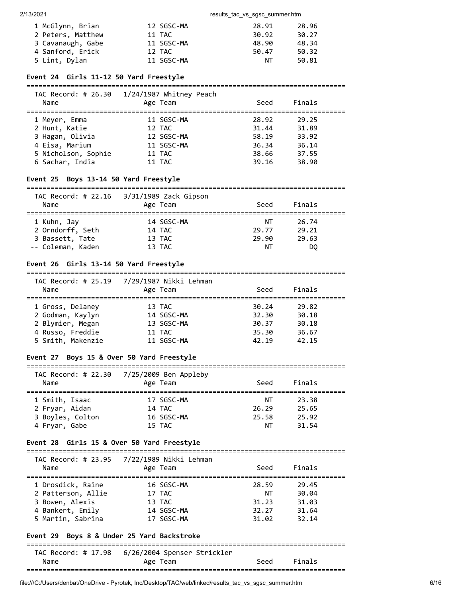| 1 McGlynn, Brian  | 12 SGSC-MA | 28.91 | 28.96 |
|-------------------|------------|-------|-------|
| 2 Peters, Matthew | 11 TAC     | 30.92 | 30.27 |
| 3 Cavanaugh, Gabe | 11 SGSC-MA | 48.90 | 48.34 |
| 4 Sanford, Erick  | 12 TAC     | 50.47 | 50.32 |
| 5 Lint, Dylan     | 11 SGSC-MA | NΤ    | 50.81 |

#### **Event 24 Girls 11-12 50 Yard Freestyle**

===============================================================================

| TAC Record: # 26.30<br>Name | 1/24/1987 Whitney Peach<br>Age Team | Seed  | Finals |  |
|-----------------------------|-------------------------------------|-------|--------|--|
| 1 Meyer, Emma               | 11 SGSC-MA                          | 28.92 | 29.25  |  |
| 2 Hunt, Katie               | 12 TAC                              | 31.44 | 31.89  |  |
| 3 Hagan, Olivia             | 12 SGSC-MA                          | 58.19 | 33.92  |  |
| 4 Eisa, Marium              | 11 SGSC-MA                          | 36.34 | 36.14  |  |
| 5 Nicholson, Sophie         | 11 TAC                              | 38.66 | 37.55  |  |
| 6 Sachar, India             | 11 TAC                              | 39.16 | 38.90  |  |
|                             |                                     |       |        |  |

### **Event 25 Boys 13-14 50 Yard Freestyle**

=============================================================================== TAC Record: # 22.16 3/31/1989 Zack Gipson

| $AC$ $NECUIU.$ $H$ $ZZ.10$<br>Name | J/JI/IJOJ LALK UIPSUN<br>Age Team | Seed  | Finals |  |
|------------------------------------|-----------------------------------|-------|--------|--|
| 1 Kuhn, Jay                        | 14 SGSC-MA                        | NΤ    | 26.74  |  |
| 2 Orndorff, Seth                   | 14 TAC                            | 29.77 | 29.21  |  |
| 3 Bassett, Tate                    | 13 TAC                            | 29.90 | 29.63  |  |
| -- Coleman, Kaden                  | 13 TAC                            | ΝT    | DO.    |  |

#### **Event 26 Girls 13-14 50 Yard Freestyle**

| TAC Record: # 25.19 | 7/29/1987 Nikki Lehman |       |        |  |
|---------------------|------------------------|-------|--------|--|
| Name                | Age Team               | Seed  | Finals |  |
| 1 Gross, Delaney    | 13 TAC                 | 30.24 | 29.82  |  |
| 2 Godman, Kaylyn    | 14 SGSC-MA             | 32.30 | 30.18  |  |
| 2 Blymier, Megan    | 13 SGSC-MA             | 30.37 | 30.18  |  |
| 4 Russo, Freddie    | 11 TAC                 | 35.30 | 36.67  |  |
| 5 Smith, Makenzie   | 11 SGSC-MA             | 42.19 | 42.15  |  |

### **Event 27 Boys 15 & Over 50 Yard Freestyle**

#### ===============================================================================  $TAC$  Record:  $\#$  22.30  $\frac{7}{25}$ /2009 Ben Appleby

| Name             | TAC RECOPU. # 22.50 $1/23/2005$ bell appleby<br>Age Team | Seed  | Finals |  |
|------------------|----------------------------------------------------------|-------|--------|--|
| 1 Smith, Isaac   | 17 SGSC-MA                                               | NT    | 23.38  |  |
| 2 Fryar, Aidan   | 14 TAC                                                   | 26.29 | 25.65  |  |
| 3 Boyles, Colton | 16 SGSC-MA                                               | 25.58 | 25.92  |  |
| 4 Fryar, Gabe    | 15 TAC                                                   | ΝT    | 31.54  |  |
|                  |                                                          |       |        |  |

### **Event 28 Girls 15 & Over 50 Yard Freestyle**

| Name               | TAC Record: # 23.95 7/22/1989 Nikki Lehman<br>Age Team | Seed  | Finals |  |
|--------------------|--------------------------------------------------------|-------|--------|--|
| 1 Drosdick, Raine  | 16 SGSC-MA                                             | 28.59 | 29.45  |  |
| 2 Patterson, Allie | 17 TAC                                                 | NΤ    | 30.04  |  |
| 3 Bowen, Alexis    | 13 TAC                                                 | 31.23 | 31.03  |  |
| 4 Bankert, Emily   | 14 SGSC-MA                                             | 32.27 | 31.64  |  |
| 5 Martin, Sabrina  | 17 SGSC-MA                                             | 31.02 | 32.14  |  |

#### **Event 29 Boys 8 & Under 25 Yard Backstroke**

=============================================================================== TAC Record: # 17.98 6/26/2004 Spenser Strickler Name Contract Age Team Contract Seed Finals

| . | ---- | ---------- | ------- |
|---|------|------------|---------|
|   |      |            |         |
|   |      |            |         |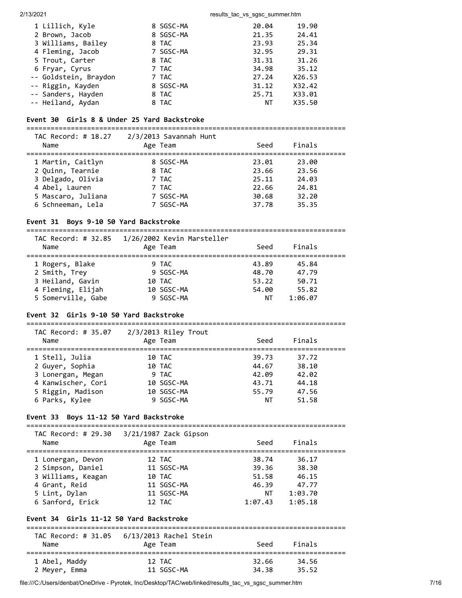#### 2/13/2021 20021 2003 2004 2006 2007 2013 2014 2014 2015 2016 2017 2018 2019 2019 2019 2019 2019 2019 2019 201

| 1 Lillich, Kyle       | 8 SGSC-MA | 20.04 | 19.90  |
|-----------------------|-----------|-------|--------|
| 2 Brown, Jacob        | 8 SGSC-MA | 21.35 | 24.41  |
| 3 Williams, Bailey    | 8 TAC     | 23.93 | 25.34  |
| 4 Fleming, Jacob      | 7 SGSC-MA | 32.95 | 29.31  |
| 5 Trout, Carter       | 8 TAC     | 31.31 | 31.26  |
| 6 Fryar, Cyrus        | 7 TAC     | 34.98 | 35.12  |
| -- Goldstein, Braydon | 7 TAC     | 27.24 | X26.53 |
| -- Riggin, Kayden     | 8 SGSC-MA | 31.12 | X32.42 |
| -- Sanders, Hayden    | 8 TAC     | 25.71 | X33.01 |
| -- Heiland, Aydan     | 8 TAC     | ΝT    | X35.50 |

# **Event 30 Girls 8 & Under 25 Yard Backstroke**

===============================================================================

| TAC Record: # 18.27<br>Name | 2/3/2013 Savannah Hunt<br>Age Team | Seed  | Finals |  |
|-----------------------------|------------------------------------|-------|--------|--|
| 1 Martin, Caitlyn           | 8 SGSC-MA                          | 23.01 | 23.00  |  |
| 2 Quinn, Tearnie            | 8 TAC                              | 23.66 | 23.56  |  |
| 3 Delgado, Olivia           | 7 TAC                              | 25.11 | 24.03  |  |
| 4 Abel, Lauren              | 7 TAC                              | 22.66 | 24.81  |  |
| 5 Mascaro, Juliana          | 7 SGSC-MA                          | 30.68 | 32.20  |  |
| 6 Schneeman, Lela           | 7 SGSC-MA                          | 37.78 | 35.35  |  |

# **Event 31 Boys 9-10 50 Yard Backstroke**

=============================================================================== TAC Record: # 32.85 1/26/2002 Kevin Marsteller

| <i></i><br>Name    | Age Team   | Seed  | Finals  |  |
|--------------------|------------|-------|---------|--|
| 1 Rogers, Blake    | 9 TAC      | 43.89 | 45.84   |  |
| 2 Smith, Trey      | 9 SGSC-MA  | 48.70 | 47.79   |  |
| 3 Heiland, Gavin   | 10 TAC     | 53.22 | 50.71   |  |
| 4 Fleming, Elijah  | 10 SGSC-MA | 54.00 | 55.82   |  |
| 5 Somerville, Gabe | 9 SGSC-MA  | ΝT    | 1:06.07 |  |

# **Event 32 Girls 9-10 50 Yard Backstroke**

| TAC Record: # 35.07 | $2/3/2013$ Riley Trout |       |        |  |
|---------------------|------------------------|-------|--------|--|
| Name                | Age Team               | Seed  | Finals |  |
|                     |                        |       |        |  |
| 1 Stell, Julia      | 10 TAC                 | 39.73 | 37.72  |  |
| 2 Guyer, Sophia     | 10 TAC                 | 44.67 | 38.10  |  |
| 3 Lonergan, Megan   | 9 TAC                  | 42.09 | 42.02  |  |
| 4 Kanwischer, Cori  | 10 SGSC-MA             | 43.71 | 44.18  |  |
| 5 Riggin, Madison   | 10 SGSC-MA             | 55.79 | 47.56  |  |
| 6 Parks, Kylee      | 9 SGSC-MA              | ΝT    | 51.58  |  |
|                     |                        |       |        |  |

# **Event 33 Boys 11-12 50 Yard Backstroke**

| TAC Record: # 29.30<br>Name | $3/21/1987$ Zack Gipson<br>Age Team | Seed    | Finals  |  |
|-----------------------------|-------------------------------------|---------|---------|--|
| 1 Lonergan, Devon           | 12 TAC                              | 38.74   | 36.17   |  |
| 2 Simpson, Daniel           | 11 SGSC-MA                          | 39.36   | 38.30   |  |
| 3 Williams, Keagan          | 10 TAC                              | 51.58   | 46.15   |  |
| 4 Grant, Reid               | 11 SGSC-MA                          | 46.39   | 47.77   |  |
| 5 Lint, Dylan               | 11 SGSC-MA                          | ΝT      | 1:03.70 |  |
| 6 Sanford, Erick            | 12 TAC                              | 1:07.43 | 1:05.18 |  |

# **Event 34 Girls 11-12 50 Yard Backstroke**

| TAC Record: # 31.05<br>Name | 6/13/2013 Rachel Stein<br>Age Team | Seed  | Finals |  |
|-----------------------------|------------------------------------|-------|--------|--|
| 1 Abel, Maddy               | 12 TAC                             | 32.66 | 34.56  |  |
| 2 Meyer, Emma               | 11 SGSC-MA                         | 34.38 | 35.52  |  |

file:///C:/Users/denbat/OneDrive - Pyrotek, Inc/Desktop/TAC/web/linked/results\_tac\_vs\_sgsc\_summer.htm 7/16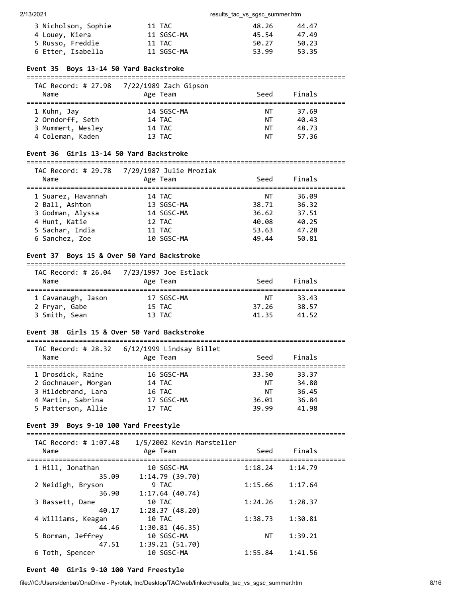| 3 Nicholson, Sophie | 11 TAC     | 48.26 | 44.47 |
|---------------------|------------|-------|-------|
| 4 Louey, Kiera      | 11 SGSC-MA | 45.54 | 47.49 |
| 5 Russo, Freddie    | 11 TAC     | 50.27 | 50.23 |
| 6 Etter, Isabella   | 11 SGSC-MA | 53.99 | 53.35 |

#### **Event 35 Boys 13-14 50 Yard Backstroke**

#### ===============================================================================  $7/22/1989$   $72ch$  Gi

| Name              | Age Team   | Seed | Finals |  |
|-------------------|------------|------|--------|--|
| 1 Kuhn, Jay       | 14 SGSC-MA | NT.  | 37.69  |  |
| 2 Orndorff, Seth  | 14 TAC     | ΝT   | 40.43  |  |
| 3 Mummert, Wesley | 14 TAC     | ΝT   | 48.73  |  |
| 4 Coleman, Kaden  | 13 TAC     | ΝT   | 57.36  |  |

# **Event 36 Girls 13-14 50 Yard Backstroke**

#### =============================================================================== TAC Record: # 29.78 7/29/1987 Julie Mroziak

| Name               | TAC NECULU. # 29.70 - 772971907 JUIIE MIUZIAN<br>Age Team | Seed  | Finals |  |
|--------------------|-----------------------------------------------------------|-------|--------|--|
| 1 Suarez, Havannah | 14 TAC                                                    | NT    | 36.09  |  |
| 2 Ball, Ashton     | 13 SGSC-MA                                                | 38.71 | 36.32  |  |
| 3 Godman, Alyssa   | 14 SGSC-MA                                                | 36.62 | 37.51  |  |
| 4 Hunt, Katie      | 12 TAC                                                    | 40.08 | 40.25  |  |
| 5 Sachar, India    | 11 TAC                                                    | 53.63 | 47.28  |  |
| 6 Sanchez, Zoe     | 10 SGSC-MA                                                | 49.44 | 50.81  |  |

# **Event 37 Boys 15 & Over 50 Yard Backstroke**

# ===============================================================================

| Name               | TAC Record: # 26.04 7/23/1997 Joe Estlack<br>Age Team | Seed  | Finals |  |
|--------------------|-------------------------------------------------------|-------|--------|--|
| 1 Cavanaugh, Jason | 17 SGSC-MA                                            | ΝT    | 33.43  |  |
| 2 Fryar, Gabe      | 15 TAC                                                | 37.26 | 38.57  |  |
| 3 Smith, Sean      | 13 TAC                                                | 41.35 | 41.52  |  |

# **Event 38 Girls 15 & Over 50 Yard Backstroke**

| TAC Record: # 28.32<br>Name              | 6/12/1999 Lindsay Billet<br>Age Team | Seed        | Finals         |  |
|------------------------------------------|--------------------------------------|-------------|----------------|--|
| 1 Drosdick, Raine<br>2 Gochnauer, Morgan | 16 SGSC-MA<br>14 TAC                 | 33.50<br>NΤ | 33.37<br>34.80 |  |
| 3 Hildebrand, Lara                       | 16 TAC                               | NΤ          | 36.45          |  |
| 4 Martin, Sabrina                        | 17 SGSC-MA                           | 36.01       | 36.84          |  |
| 5 Patterson, Allie                       | 17 TAC                               | 39.99       | 41.98          |  |

### **Event 39 Boys 9-10 100 Yard Freestyle**

| TAC Record: # 1:07.48<br>Name | 1/5/2002 Kevin Marsteller<br>Age Team | Seed    | Finals  |
|-------------------------------|---------------------------------------|---------|---------|
| 1 Hill, Jonathan<br>35.09     | 10 SGSC-MA<br>1:14.79(39.70)          | 1:18.24 | 1:14.79 |
| 2 Neidigh, Bryson<br>36.90    | 9 TAC<br>1:17.64(40.74)               | 1:15.66 | 1:17.64 |
| 3 Bassett, Dane<br>40.17      | 10 TAC<br>1:28.37(48.20)              | 1:24.26 | 1:28.37 |
| 4 Williams, Keagan<br>44.46   | 10 TAC<br>1:30.81(46.35)              | 1:38.73 | 1:30.81 |
| 5 Borman, Jeffrey<br>47.51    | 10 SGSC-MA<br>1:39.21(51.70)          | NΤ      | 1:39.21 |
| 6 Toth, Spencer               | 10 SGSC-MA                            | 1:55.84 | 1:41.56 |

# **Event 40 Girls 9-10 100 Yard Freestyle**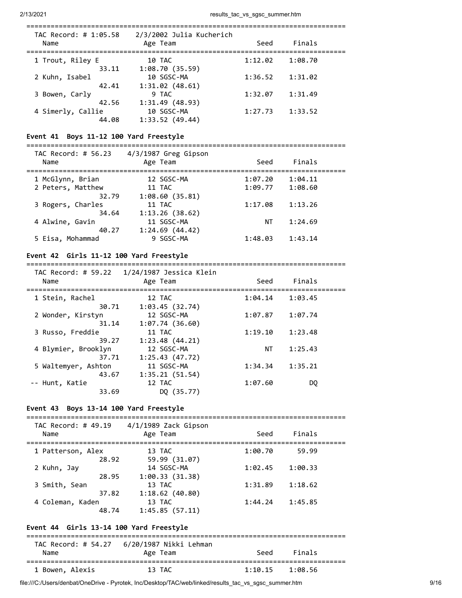| TAC Record: # 1:05.58<br>Name | 2/3/2002 Julia Kucherich<br>Age Team | Seed    | Finals  |
|-------------------------------|--------------------------------------|---------|---------|
| 1 Trout, Riley E<br>33.11     | 10 TAC<br>1:08.70(35.59)             | 1:12.02 | 1:08.70 |
| 2 Kuhn, Isabel<br>42.41       | 10 SGSC-MA<br>1:31.02(48.61)         | 1:36.52 | 1:31.02 |
| 3 Bowen, Carly<br>42.56       | 9 TAC<br>1:31.49 (48.93)             | 1:32.07 | 1:31.49 |
| 4 Simerly, Callie<br>44.08    | 10 SGSC-MA<br>1:33.52(49.44)         | 1:27.73 | 1:33.52 |

#### **Event 41 Boys 11-12 100 Yard Freestyle**

=============================================================================== TAC Record: # 56.23 4/3/1987 Greg Gipson

| LAL RECONU. # 50.43<br>Name | $4/3/198/$ ureg uipson<br>Age Team | Seed    | Finals  |  |
|-----------------------------|------------------------------------|---------|---------|--|
| 1 McGlynn, Brian            | 12 SGSC-MA                         | 1:07.20 | 1:04.11 |  |
| 2 Peters, Matthew           | 11 TAC                             | 1:09.77 | 1:08.60 |  |
| 32.79                       | 1:08.60(35.81)                     |         |         |  |
| 3 Rogers, Charles           | 11 TAC                             | 1:17.08 | 1:13.26 |  |
| 34.64                       | 1:13.26(38.62)                     |         |         |  |
| 4 Alwine, Gavin             | 11 SGSC-MA                         | ΝT      | 1:24.69 |  |
| 40.27                       | 1:24.69(44.42)                     |         |         |  |
| 5 Eisa, Mohammad            | 9 SGSC-MA                          | 1:48.03 | 1:43.14 |  |
|                             |                                    |         |         |  |

# **Event 42 Girls 11-12 100 Yard Freestyle**

===============================================================================

| Name                         | Age Team                     | Seed    | Finals  |  |
|------------------------------|------------------------------|---------|---------|--|
| 1 Stein, Rachel              | 12 TAC                       | 1:04.14 | 1:03.45 |  |
| 30.71<br>2 Wonder, Kirstyn   | 1:03.45(32.74)<br>12 SGSC-MA | 1:07.87 | 1:07.74 |  |
| 31.14<br>3 Russo, Freddie    | 1:07.74(36.60)<br>11 TAC     | 1:19.10 | 1:23.48 |  |
| 39.27<br>4 Blymier, Brooklyn | 1:23.48(44.21)<br>12 SGSC-MA | ΝT      | 1:25.43 |  |
| 37.71<br>5 Waltemyer, Ashton | 1:25.43(47.72)<br>11 SGSC-MA | 1:34.34 | 1:35.21 |  |
| 43.67<br>-- Hunt, Katie      | 1:35.21(51.54)<br>12 TAC     | 1:07.60 | DO.     |  |
| 33.69                        | DO (35.77)                   |         |         |  |

# **Event 43 Boys 13-14 100 Yard Freestyle**

| TAC Record: # 49.19<br>Name |       | $4/1/1989$ Zack Gipson<br>Age Team | Seed    | Finals  |  |
|-----------------------------|-------|------------------------------------|---------|---------|--|
| 1 Patterson, Alex           | 28.92 | 13 TAC<br>59.99 (31.07)            | 1:00.70 | 59.99   |  |
| 2 Kuhn, Jay                 | 28.95 | 14 SGSC-MA<br>1:00.33(31.38)       | 1:02.45 | 1:00.33 |  |
| 3 Smith, Sean               | 37.82 | 13 TAC<br>1:18.62(40.80)           | 1:31.89 | 1:18.62 |  |
| 4 Coleman, Kaden            | 48.74 | 13 TAC<br>1:45.85(57.11)           | 1:44.24 | 1:45.85 |  |

# **Event 44 Girls 13-14 100 Yard Freestyle**

| Name            | Age Team | Seed                | Finals |  |
|-----------------|----------|---------------------|--------|--|
| 1 Bowen, Alexis | 13 TAC   | $1:10.15$ $1:08.56$ |        |  |

file:///C:/Users/denbat/OneDrive - Pyrotek, Inc/Desktop/TAC/web/linked/results\_tac\_vs\_sgsc\_summer.htm 9/16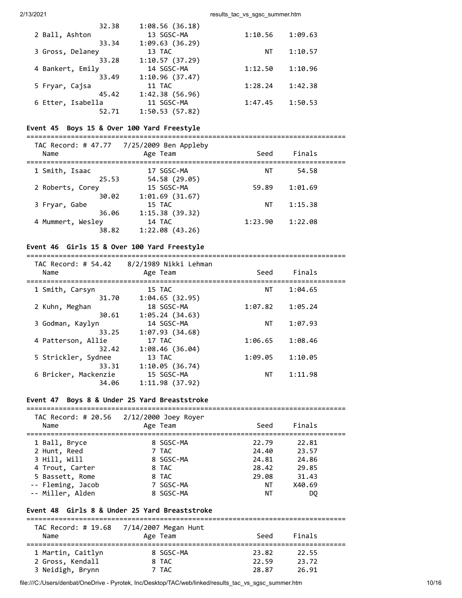2/13/2021 **results** tac vs sgsc summer.htm

| 32.38             | 1:08.56(36.18) |         |         |
|-------------------|----------------|---------|---------|
| 2 Ball, Ashton    | 13 SGSC-MA     | 1:10.56 | 1:09.63 |
| 33.34             | 1:09.63(36.29) |         |         |
| 3 Gross, Delaney  | 13 TAC         | ΝT      | 1:10.57 |
| 33.28             | 1:10.57(37.29) |         |         |
| 4 Bankert, Emily  | 14 SGSC-MA     | 1:12.50 | 1:10.96 |
| 33.49             | 1:10.96(37.47) |         |         |
| 5 Fryar, Cajsa    | 11 TAC         | 1:28.24 | 1:42.38 |
| 45.42             | 1:42.38(56.96) |         |         |
| 6 Etter, Isabella | 11 SGSC-MA     | 1:47.45 | 1:50.53 |
| 52.71             | 1:50.53(57.82) |         |         |

# **Event 45 Boys 15 & Over 100 Yard Freestyle**

=============================================================================== TAC Record: # 47.77 7/25/2009 Ben Appleby Name **Age Team** Seed Finals =============================================================================== 1 Smith, Isaac 17 SGSC-MA NT 54.58 25.53 54.58 (29.05) 2 Roberts, Corey 15 SGSC-MA 59.89 1:01.69 30.02 1:01.69 (31.67) 3 Fryar, Gabe 15 TAC NT 1:15.38 36.06 1:15.38 (39.32) 4 Mummert, Wesley 14 TAC 1:23.90 1:22.08 38.82 1:22.08 (43.26)

### **Event 46 Girls 15 & Over 100 Yard Freestyle**

#### =============================================================================== TAC Record: # 54.42 8/2/1989 Nikki Lehman

| IAC Record: # 54.42<br>Name | الكاتر الكائل الكلائل /2/ /6<br>Age Team | Seed    | Finals  |  |
|-----------------------------|------------------------------------------|---------|---------|--|
| 1 Smith, Carsyn             | 15 TAC                                   | NΤ      | 1:04.65 |  |
| 31.70                       | 1:04.65(32.95)                           |         |         |  |
| 2 Kuhn, Meghan              | 18 SGSC-MA                               | 1:07.82 | 1:05.24 |  |
| 30.61                       | 1:05.24(34.63)                           |         |         |  |
| 3 Godman, Kaylyn            | 14 SGSC-MA                               | NΤ      | 1:07.93 |  |
| 33.25                       | 1:07.93(34.68)                           |         |         |  |
| 4 Patterson, Allie          | 17 TAC                                   | 1:06.65 | 1:08.46 |  |
| 32.42                       | 1:08.46(36.04)                           |         |         |  |
| 5 Strickler, Sydnee         | 13 TAC                                   | 1:09.05 | 1:10.05 |  |
| 33.31                       | 1:10.05(36.74)                           |         |         |  |
| 6 Bricker, Mackenzie        | 15 SGSC-MA                               | NΤ      | 1:11.98 |  |
| 34.06                       | 1:11.98(37.92)                           |         |         |  |
|                             |                                          |         |         |  |

### **Event 47 Boys 8 & Under 25 Yard Breaststroke**

| Name              | TAC Record: # 20.56 2/12/2000 Joey Royer<br>Age Team | Seed  | Finals |
|-------------------|------------------------------------------------------|-------|--------|
| 1 Ball, Bryce     | 8 SGSC-MA                                            | 22.79 | 22.81  |
| 2 Hunt, Reed      | 7 TAC                                                | 24.40 | 23.57  |
| 3 Hill, Will      | 8 SGSC-MA                                            | 24.81 | 24.86  |
| 4 Trout, Carter   | 8 TAC                                                | 28.42 | 29.85  |
| 5 Bassett, Rome   | 8 TAC                                                | 29.08 | 31.43  |
| -- Fleming, Jacob | 7 SGSC-MA                                            | ΝT    | X40.69 |
| -- Miller, Alden  | 8 SGSC-MA                                            | ΝT    | DO.    |

#### **Event 48 Girls 8 & Under 25 Yard Breaststroke** ===============================================================================

| Name                                 | TAC Record: # 19.68 7/14/2007 Megan Hunt<br>Age Team | Seed           | Finals         |  |
|--------------------------------------|------------------------------------------------------|----------------|----------------|--|
| 1 Martin, Caitlyn                    | 8 SGSC-MA                                            | 23.82          | 22.55          |  |
| 2 Gross, Kendall<br>3 Neidigh, Brynn | 8 TAC<br>7 TAC                                       | 22.59<br>28.87 | 23.72<br>26.91 |  |

file:///C:/Users/denbat/OneDrive - Pyrotek, Inc/Desktop/TAC/web/linked/results\_tac\_vs\_sgsc\_summer.htm 10/16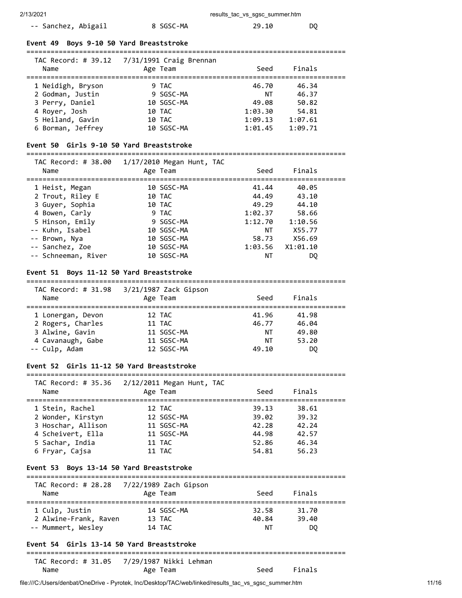| -- Sanchez, Abigail | 8 SGSC-MA | 29.10 | DO - |
|---------------------|-----------|-------|------|
|---------------------|-----------|-------|------|

#### **Event 49 Boys 9-10 50 Yard Breaststroke**

#### ===============================================================================  $TAC$  Record:  $\#$  39.12 7/31/1991 Craig Brennan

| Name              | TAC RECOLU. $\pi$ 39.12 $\left($ 1731/1991 Claig Diemian<br>Age Team | Seed    | Finals  |  |
|-------------------|----------------------------------------------------------------------|---------|---------|--|
| 1 Neidigh, Bryson | 9 TAC                                                                | 46.70   | 46.34   |  |
| 2 Godman, Justin  | 9 SGSC-MA                                                            | ΝT      | 46.37   |  |
| 3 Perry, Daniel   | 10 SGSC-MA                                                           | 49.08   | 50.82   |  |
| 4 Royer, Josh     | 10 TAC                                                               | 1:03.30 | 54.81   |  |
| 5 Heiland, Gavin  | 10 TAC                                                               | 1:09.13 | 1:07.61 |  |
| 6 Borman, Jeffrey | 10 SGSC-MA                                                           | 1:01.45 | 1:09.71 |  |

#### **Event 50 Girls 9-10 50 Yard Breaststroke**

# ===============================================================================

| TAC Record: # 38.00<br>Name | $1/17/2010$ Megan Hunt, TAC<br>Age Team | Seed    | Finals   |  |
|-----------------------------|-----------------------------------------|---------|----------|--|
| 1 Heist, Megan              | 10 SGSC-MA                              | 41.44   | 40.05    |  |
| 2 Trout, Riley E            | 10 TAC                                  | 44.49   | 43.10    |  |
| 3 Guyer, Sophia             | 10 TAC                                  | 49.29   | 44.10    |  |
| 4 Bowen, Carly              | 9 TAC                                   | 1:02.37 | 58.66    |  |
| 5 Hinson, Emily             | 9 SGSC-MA                               | 1:12.70 | 1:10.56  |  |
| -- Kuhn, Isabel             | 10 SGSC-MA                              | ΝT      | X55.77   |  |
| -- Brown, Nya               | 10 SGSC-MA                              | 58.73   | X56.69   |  |
| -- Sanchez, Zoe             | 10 SGSC-MA                              | 1:03.56 | X1:01.10 |  |
| -- Schneeman, River         | 10 SGSC-MA                              | ΝT      | DQ       |  |
|                             |                                         |         |          |  |

#### **Event 51 Boys 11-12 50 Yard Breaststroke**

#### ===============================================================================

| TAC Record: # 31.98<br>Name | 3/21/1987 Zack Gipson<br>Age Team | Seed  | Finals |  |
|-----------------------------|-----------------------------------|-------|--------|--|
| 1 Lonergan, Devon           | 12 TAC                            | 41.96 | 41.98  |  |
| 2 Rogers, Charles           | 11 TAC                            | 46.77 | 46.04  |  |
| 3 Alwine, Gavin             | 11 SGSC-MA                        | ΝT    | 49.80  |  |
| 4 Cavanaugh, Gabe           | 11 SGSC-MA                        | ΝT    | 53.20  |  |
| -- Culp, Adam               | 12 SGSC-MA                        | 49.10 | DO     |  |

#### **Event 52 Girls 11-12 50 Yard Breaststroke**

#### ===============================================================================  $TAC$  Record: # 35.36 2/12/2011 Mega

| Name               | Age Team   | Seed  | Finals |  |
|--------------------|------------|-------|--------|--|
| 1 Stein, Rachel    | 12 TAC     | 39.13 | 38.61  |  |
| 2 Wonder, Kirstyn  | 12 SGSC-MA | 39.02 | 39.32  |  |
| 3 Hoschar, Allison | 11 SGSC-MA | 42.28 | 42.24  |  |

 4 Scheivert, Ella 11 SGSC-MA 44.98 42.57 5 Sachar, India 11 TAC 52.86 46.34 6 Fryar, Cajsa 11 TAC 54.81 56.23

#### **Event 53 Boys 13-14 50 Yard Breaststroke**

#### =============================================================================== TAC Record: # 28.28 7/22/1989 Zach Gipson

| 155 11550 U. T 20.20<br>Name            | 772271999 LUCH OIDSON<br>Age Team | Seed           | Finals         |  |
|-----------------------------------------|-----------------------------------|----------------|----------------|--|
| 1 Culp, Justin<br>2 Alwine-Frank, Raven | 14 SGSC-MA<br>13 TAC              | 32.58<br>40.84 | 31.70<br>39.40 |  |
| -- Mummert, Wesley                      | 14 TAC                            | NΤ             | DO.            |  |

## **Event 54 Girls 13-14 50 Yard Breaststroke**

#### =============================================================================== TAC Record: # 31.05 7/29/1987 Nikki Lehman

| Name | Age Team |  | Seed Finals |
|------|----------|--|-------------|
|------|----------|--|-------------|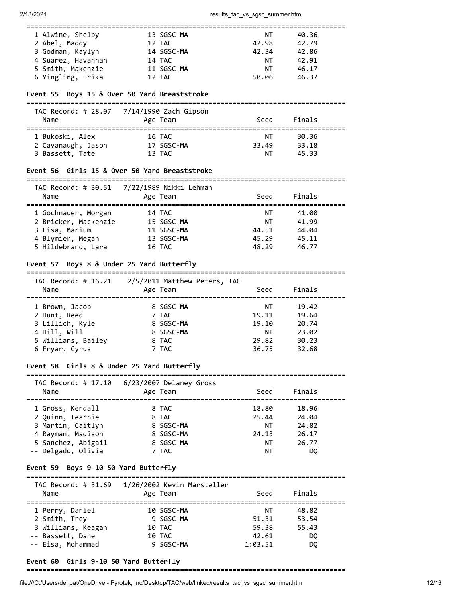# ===============================================================================

| 1 Alwine, Shelby   | 13 SGSC-MA | NΤ    | 40.36 |  |
|--------------------|------------|-------|-------|--|
| 2 Abel, Maddy      | 12 TAC     | 42.98 | 42.79 |  |
| 3 Godman, Kaylyn   | 14 SGSC-MA | 42.34 | 42.86 |  |
| 4 Suarez, Havannah | 14 TAC     | ΝT    | 42.91 |  |
| 5 Smith, Makenzie  | 11 SGSC-MA | ΝT    | 46.17 |  |
| 6 Yingling, Erika  | 12 TAC     | 50.06 | 46.37 |  |

#### **Event 55 Boys 15 & Over 50 Yard Breaststroke**

===============================================================================

| TAC Record: # 28.07<br>Name | 7/14/1990 Zach Gipson<br>Age Team | Seed  | Finals |  |
|-----------------------------|-----------------------------------|-------|--------|--|
| 1 Bukoski, Alex             | 16 TAC                            | ΝT    | 30.36  |  |
| 2 Cavanaugh, Jason          | 17 SGSC-MA                        | 33.49 | 33.18  |  |
| 3 Bassett, Tate             | 13 TAC                            | ΝT    | 45.33  |  |

#### **Event 56 Girls 15 & Over 50 Yard Breaststroke**

=============================================================================== TAC Record: # 30.51 7/22/1989 Nikki Lehman Name Age Team Seed Finals

| .                    | <b>RAC COMP</b> | ----  | .     |
|----------------------|-----------------|-------|-------|
| 1 Gochnauer, Morgan  | 14 TAC          | ΝT    | 41.00 |
| 2 Bricker, Mackenzie | 15 SGSC-MA      | ΝT    | 41.99 |
| 3 Eisa, Marium       | 11 SGSC-MA      | 44.51 | 44.04 |
| 4 Blymier, Megan     | 13 SGSC-MA      | 45.29 | 45.11 |
| 5 Hildebrand, Lara   | 16 TAC          | 48.29 | 46.77 |

### **Event 57 Boys 8 & Under 25 Yard Butterfly**

=============================================================================== TAC Record: # 16.21 2/5/2011 Matthew Peters, TAC Name Age Team Seed Finals =============================================================================== 1 Brown, Jacob 8 SGSC-MA NT 19.42 2 Hunt, Reed 7 TAC 19.11 19.64<br>3 Lillich, Kyle 8 SGSC-MA 19.10 20.74 3 Lillich, Kyle 8 SGSC-MA 19.10 20.74 4 Hill, Will 8 SGSC-MA NT 23.02 5 Williams, Bailey 8 TAC 29.82 30.23 6 Fryar, Cyrus 7 TAC 36.75 32.68

# **Event 58 Girls 8 & Under 25 Yard Butterfly**

=============================================================================== TAC Record: # 17.10 6/23/2007 Delaney Gross

| Name                                 | Age Team       | Seed           | Finals         |  |
|--------------------------------------|----------------|----------------|----------------|--|
| 1 Gross, Kendall<br>2 Ouinn, Tearnie | 8 TAC<br>8 TAC | 18.80<br>25.44 | 18.96<br>24.04 |  |
| 3 Martin, Caitlyn                    | 8 SGSC-MA      | ΝT             | 24.82          |  |
| 4 Rayman, Madison                    | 8 SGSC-MA      | 24.13          | 26.17          |  |
| 5 Sanchez, Abigail                   | 8 SGSC-MA      | ΝT             | 26.77          |  |
| -- Delgado, Olivia                   | 7 TAC          | ΝT             | DO             |  |

#### **Event 59 Boys 9-10 50 Yard Butterfly**

#### =============================================================================== TAC Record: # 31.69 1/26/2002 Kevin Marsteller

| Name               | 1AC RCCOPU. # 21.02 LIZO/2002 RCVIN HUNDECIICH<br>Age Team | Seed    | Finals |  |
|--------------------|------------------------------------------------------------|---------|--------|--|
| 1 Perry, Daniel    | 10 SGSC-MA                                                 | ΝT      | 48.82  |  |
| 2 Smith, Trey      | 9 SGSC-MA                                                  | 51.31   | 53.54  |  |
| 3 Williams, Keagan | 10 TAC                                                     | 59.38   | 55.43  |  |
| -- Bassett, Dane   | 10 TAC                                                     | 42.61   | DO.    |  |
| -- Eisa, Mohammad  | 9 SGSC-MA                                                  | 1:03.51 | DO.    |  |
|                    |                                                            |         |        |  |

#### **Event 60 Girls 9-10 50 Yard Butterfly**

===============================================================================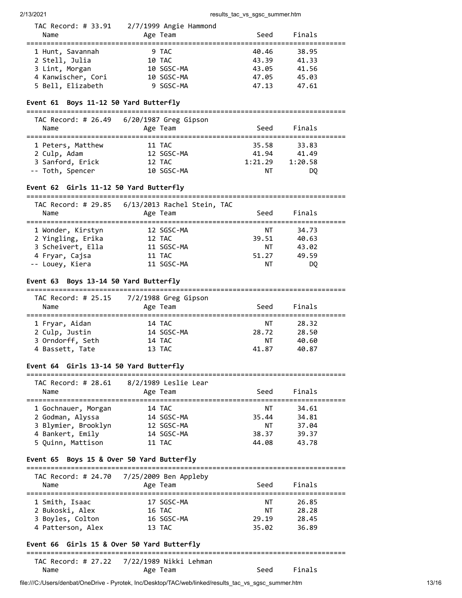| Name                                                                                            | TAC Record: # $33.91$ $2/7/1999$ Angie Hammond<br>Age Team | Seed                                      | Finals                                    |  |
|-------------------------------------------------------------------------------------------------|------------------------------------------------------------|-------------------------------------------|-------------------------------------------|--|
| 1 Hunt, Savannah<br>2 Stell, Julia<br>3 Lint, Morgan<br>4 Kanwischer, Cori<br>5 Bell, Elizabeth | 9 TAC<br>10 TAC<br>10 SGSC-MA<br>10 SGSC-MA<br>9 SGSC-MA   | 40.46<br>43.39<br>43.05<br>47.05<br>47.13 | 38.95<br>41.33<br>41.56<br>45.03<br>47.61 |  |
| Event 61 Boys 11-12 50 Yard Butterfly                                                           |                                                            |                                           |                                           |  |
| Name                                                                                            | TAC Record: # $26.49$ 6/20/1987 Greg Gipson<br>Age Team    | Seed                                      | Finals                                    |  |

| 1 Peters, Matthew | 11 TAC     | 35.58   | 33.83   |  |
|-------------------|------------|---------|---------|--|
| 2 Culp, Adam      | 12 SGSC-MA | 41.94   | 41.49   |  |
| 3 Sanford, Erick  | 12 TAC     | 1:21.29 | 1:20.58 |  |
| -- Toth, Spencer  | 10 SGSC-MA | NT.     | DO.     |  |

# **Event 62 Girls 11-12 50 Yard Butterfly**

| TAC Record: # 29.85 | 6/13/2013 Rachel Stein, TAC |       |        |  |
|---------------------|-----------------------------|-------|--------|--|
| Name                | Age Team                    | Seed  | Finals |  |
| 1 Wonder, Kirstyn   | 12 SGSC-MA                  | NΤ    | 34.73  |  |
| 2 Yingling, Erika   | 12 TAC                      | 39.51 | 40.63  |  |
| 3 Scheivert, Ella   | 11 SGSC-MA                  | ΝT    | 43.02  |  |
| 4 Fryar, Cajsa      | 11 TAC                      | 51.27 | 49.59  |  |
| -- Louey, Kiera     | 11 SGSC-MA                  | ΝT    | DO     |  |

#### **Event 63 Boys 13-14 50 Yard Butterfly**

===============================================================================  $7/2/1988$  Greg Gipson

| TAC Record: # 25.15<br>Name | 77271988 Greg Gipson<br>Age Team | Seed  | Finals |  |
|-----------------------------|----------------------------------|-------|--------|--|
| 1 Fryar, Aidan              | 14 TAC                           | ΝT    | 28.32  |  |
| 2 Culp, Justin              | 14 SGSC-MA                       | 28.72 | 28.50  |  |
| 3 Orndorff, Seth            | 14 TAC                           | ΝT    | 40.60  |  |
| 4 Bassett, Tate             | 13 TAC                           | 41.87 | 40.87  |  |

## **Event 64 Girls 13-14 50 Yard Butterfly**

| Record: # 28.61<br>TAC | 8/2/1989 Leslie Lear |  |
|------------------------|----------------------|--|

| Name                | Age Team   | Seed  | Finals |
|---------------------|------------|-------|--------|
| 1 Gochnauer, Morgan | 14 TAC     | NΤ    | 34.61  |
| 2 Godman, Alyssa    | 14 SGSC-MA | 35.44 | 34.81  |
| 3 Blymier, Brooklyn | 12 SGSC-MA | ΝT    | 37.04  |
| 4 Bankert, Emily    | 14 SGSC-MA | 38.37 | 39.37  |
| 5 Ouinn, Mattison   | 11 TAC     | 44.08 | 43.78  |

#### **Event 65 Boys 15 & Over 50 Yard Butterfly**

#### ===============================================================================

| Name              | TAC Record: # 24.70 7/25/2009 Ben Appleby<br>Age Team | Seed  | Finals |  |
|-------------------|-------------------------------------------------------|-------|--------|--|
| 1 Smith, Isaac    | 17 SGSC-MA                                            | ΝT    | 26.85  |  |
| 2 Bukoski, Alex   | 16 TAC                                                | ΝT    | 28.28  |  |
| 3 Boyles, Colton  | 16 SGSC-MA                                            | 29.19 | 28.45  |  |
| 4 Patterson, Alex | 13 TAC                                                | 35.02 | 36.89  |  |

### **Event 66 Girls 15 & Over 50 Yard Butterfly**

#### =============================================================================== TAC Record: # 27.22 7/22/1989 Nikki Lehman

| Name | Age Team | Seed | Finals |
|------|----------|------|--------|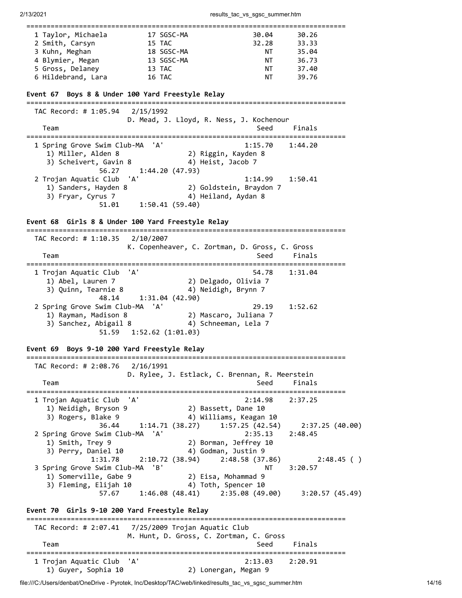2/13/2021 results\_tac\_vs\_sgsc\_summer.htm

| 1 Taylor, Michaela                                                                                          | 17 SGSC-MA                         | 30.04                                                                                               | 30.26                                |
|-------------------------------------------------------------------------------------------------------------|------------------------------------|-----------------------------------------------------------------------------------------------------|--------------------------------------|
| 2 Smith, Carsyn                                                                                             | 15 TAC                             | 32.28                                                                                               | 33.33                                |
| 3 Kuhn, Meghan                                                                                              | 18 SGSC-MA                         | NT                                                                                                  | 35.04                                |
| 4 Blymier, Megan                                                                                            | 13 SGSC-MA                         | NT                                                                                                  | 36.73                                |
| 5 Gross, Delaney                                                                                            | 13 TAC                             | NT                                                                                                  | 37.40                                |
| 6 Hildebrand, Lara                                                                                          | 16 TAC                             | NT                                                                                                  | 39.76                                |
| Event 67 Boys 8 & Under 100 Yard Freestyle Relay                                                            |                                    |                                                                                                     |                                      |
| TAC Record: # 1:05.94                                                                                       | 2/15/1992                          | D. Mead, J. Lloyd, R. Ness, J. Kochenour                                                            |                                      |
| Team                                                                                                        |                                    | Seed                                                                                                | Finals                               |
| 1 Spring Grove Swim Club-MA<br>1) Miller, Alden 8<br>3) Scheivert, Gavin 8<br>56.27                         | 'A'<br>1:44.20(47.93)              | 1:15.70<br>2) Riggin, Kayden 8<br>4) Heist, Jacob 7                                                 | 1:44.20                              |
| 2 Trojan Aquatic Club<br>1) Sanders, Hayden 8<br>3) Fryar, Cyrus 7<br>51.01                                 | 'A'<br>1:50.41(59.40)              | 1:14.99<br>2) Goldstein, Braydon 7<br>4) Heiland, Aydan 8                                           | 1:50.41                              |
| Event 68 Girls 8 & Under 100 Yard Freestyle Relay                                                           |                                    |                                                                                                     |                                      |
| TAC Record: # 1:10.35 2/10/2007                                                                             |                                    |                                                                                                     |                                      |
| Team                                                                                                        |                                    | K. Copenheaver, C. Zortman, D. Gross, C. Gross<br>Seed                                              | Finals                               |
| :==========================<br>1 Trojan Aquatic Club<br>1) Abel, Lauren 7<br>3) Quinn, Tearnie 8            | 'A'                                | 54.78<br>2) Delgado, Olivia 7<br>4) Neidigh, Brynn 7                                                | 1:31.04                              |
| 48.14<br>2 Spring Grove Swim Club-MA 'A'<br>1) Rayman, Madison 8<br>3) Sanchez, Abigail 8<br>51.59          | 1:31.04(42.90)<br>1:52.62(1:01.03) | 29.19<br>2) Mascaro, Juliana 7<br>4) Schneeman, Lela 7                                              | 1:52.62                              |
| Event 69 Boys 9-10 200 Yard Freestyle Relay<br>TAC Record: # 2:08.76 2/16/1991                              |                                    | D. Rylee, J. Estlack, C. Brennan, R. Meerstein                                                      |                                      |
| Team                                                                                                        |                                    | Seed                                                                                                | Finals                               |
| 1 Trojan Aquatic Club<br>1) Neidigh, Bryson 9<br>3) Rogers, Blake 9<br>36.44<br>2 Spring Grove Swim Club-MA | 'A'<br>1:14.71 (38.27)<br>'A'      | 2:14.98<br>2) Bassett, Dane 10<br>4) Williams, Keagan 10<br>1:57.25(42.54)<br>2:35.13               | 2:37.25<br>2:37.25(40.00)<br>2:48.45 |
| 1) Smith, Trey 9<br>3) Perry, Daniel 10<br>1:31.78<br>3 Spring Grove Swim Club-MA                           | 'B'                                | 2) Borman, Jeffrey 10<br>4) Godman, Justin 9<br>$2:10.72$ (38.94) $2:48.58$ (37.86)<br>NΤ           | 2:48.45( )<br>3:20.57                |
| 1) Somerville, Gabe 9<br>3) Fleming, Elijah 10<br>57.67                                                     |                                    | 2) Eisa, Mohammad 9<br>4) Toth, Spencer 10<br>$1:46.08$ (48.41) $2:35.08$ (49.00) $3:20.57$ (45.49) |                                      |
| Event 70 Girls 9-10 200 Yard Freestyle Relay                                                                |                                    |                                                                                                     |                                      |
|                                                                                                             |                                    |                                                                                                     |                                      |
| Team                                                                                                        |                                    | M. Hunt, D. Gross, C. Zortman, C. Gross<br>Seed                                                     | Finals                               |
| ==========<br>1 Trojan Aquatic Club<br>1) Guyer, Sophia 10                                                  | 'A'                                | 2:13.03<br>2) Lonergan, Megan 9                                                                     | ======================<br>2:20.91    |

file:///C:/Users/denbat/OneDrive - Pyrotek, Inc/Desktop/TAC/web/linked/results\_tac\_vs\_sgsc\_summer.htm 14/16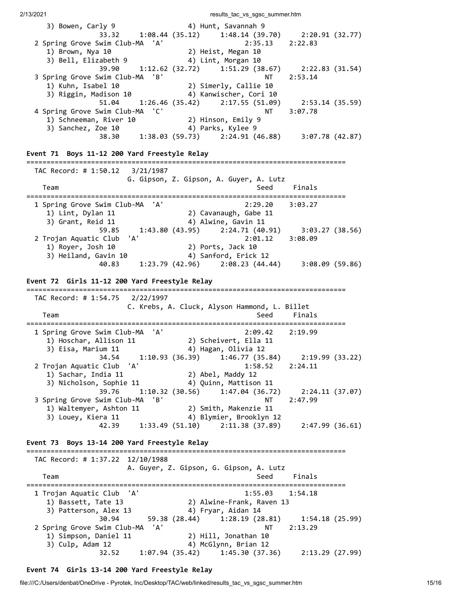3) Bowen, Carly 9 4) Hunt, Savannah 9 33.32 1:08.44 (35.12) 1:48.14 (39.70) 2:20.91 (32.77) 2 Spring Grove Swim Club-MA 'A' 2:35.13 2:22.83 1) Brown, Nya 10<br>
1) Brown, Nya 10<br>
3) Bell, Elizabeth 9 (2) Lint, Morgan 10 3) Bell, Elizabeth 9 4) Lint, Morgan 10 39.90 1:12.62 (32.72) 1:51.29 (38.67) 2:22.83 (31.54) 3 Spring Grove Swim Club-MA 'B' 1) Kuhn, Isabel 10<br>3) Kuhn, Isabel 10 2) Simerly, Callie 10<br>3) Riggin, Madison 10 4) Kanwischer, Cori 10 1) Kuhn, Isabel 10 2) Simerly, Callie 10 3) Riggin, Madison 10 4) Kanwischer, Cori 10 51.04 1:26.46 (35.42) 2:17.55 (51.09) 2:53.14 (35.59) 4 Spring Grove Swim Club-MA 'C' 1) Schneeman, River 10 2) Hinson, Emily 9 3) Sanchez, Zoe 10 4) Parks, Kylee 9 38.30 1:38.03 (59.73) 2:24.91 (46.88) 3:07.78 (42.87) **Event 71 Boys 11-12 200 Yard Freestyle Relay** =============================================================================== TAC Record: # 1:50.12 3/21/1987 G. Gipson, Z. Gipson, A. Guyer, A. Lutz Team Seed Finals =============================================================================== 1 Spring Grove Swim Club-MA 'A' 2:29.20 3:03.27 1) Lint, Dylan 11 2) Cavanaugh, Gabe 11 3) Grant, Reid 11  $\hskip10mm$  4) Alwine, Gavin 11 Reid 11 (4) Alwine, Gavin 11<br>59.85 (1:43.80 (43.95) 2:24.71 (40.91) 3:03.27 (38.56)<br>2:01.12 3:08.09 2 Trojan Aquatic Club 'A' 2:01.12 3:08.09 1) Royer, Josh 10 2) Ports, Jack 10 3) Heiland, Gavin 10 4) Sanford, Erick 12 40.83 1:23.79 (42.96) 2:08.23 (44.44) 3:08.09 (59.86) **Event 72 Girls 11-12 200 Yard Freestyle Relay** =============================================================================== TAC Record: # 1:54.75 2/22/1997 C. Krebs, A. Cluck, Alyson Hammond, L. Billet Team Seed Finals =============================================================================== 1 Spring Grove Swim Club-MA 'A' 2:09.42 2:19.99 1) Hoschar, Allison 11 2) Scheivert, Ella 11 3) Eisa, Marium 11 4) Hagan, Olivia 12 34.54 1:10.93 (36.39) 1:46.77 (35.84) 2:19.99 (33.22) 2 Trojan Aquatic Club 'A' 1:58.52 2:24.11 1) Sachar, India 11 2) Abel, Maddy 12 2 Trojan Aquatic Club 'A'<br>
1:58.52<br>
1) Sachar, India 11 2) Abel, Maddy 12<br>
3) Nicholson, Sophie 11 4) Quinn, Mattison 11 39.76 1:10.32 (30.56) 1:47.04 (36.72) 2:24.11 (37.07) 3 Spring Grove Swim Club-MA 'B' NT 2:47.99 1) Waltemyer, Ashton 11 2) Smith, Makenzie 11 3) Louey, Kiera 11 4) Blymier, Brooklyn 12 42.39 1:33.49 (51.10) 2:11.38 (37.89) 2:47.99 (36.61) **Event 73 Boys 13-14 200 Yard Freestyle Relay** =============================================================================== TAC Record: # 1:37.22 12/10/1988 A. Guyer, Z. Gipson, G. Gipson, A. Lutz Team Seed Finals =============================================================================== 1 Trojan Aquatic Club 'A' 1:55.03 1:54.18 1) Bassett, Tate 13 2) Alwine-Frank, Raven 13 3) Patterson, Alex 13 4) Fryar, Aidan 14 30.94 59.38 (28.44) 1:28.19 (28.81) 1:54.18 (25.99) 2 Spring Grove Swim Club-MA 'A' NT 2:13.29 1) Simpson, Daniel 11 2) Hill, Jonathan 10 3) Culp, Adam 12 4) McGlynn, Brian 12

2/13/2021 20021 2003 2004 2006 2007 2008 2009 2013 2014 2014 2015 2016 2017 2018 2019 2019 2019 2019 2019 201

# **Event 74 Girls 13-14 200 Yard Freestyle Relay**

32.52 1:07.94 (35.42) 1:45.30 (37.36) 2:13.29 (27.99)